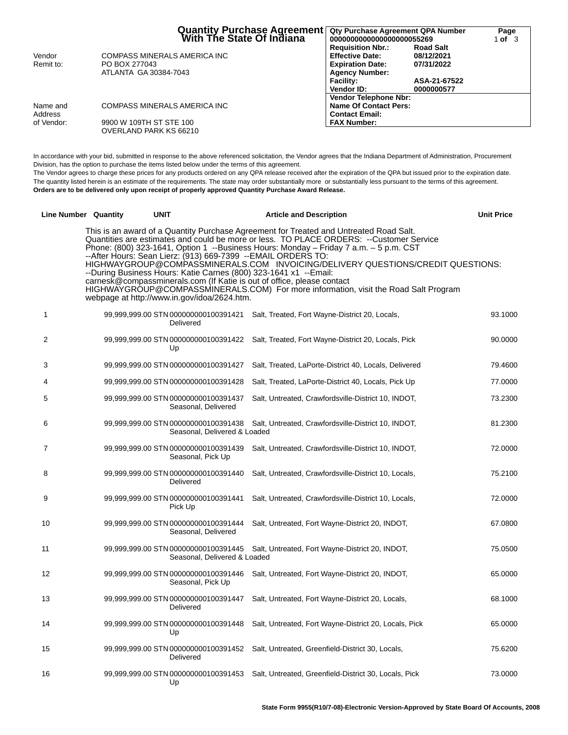|            | Quantity Purchase Agreement<br>Mith The State Of Indiana | <b>Qty Purchase Agreement QPA Number</b><br>0000000000000000000055269 |                  | Page<br>1 <b>of</b> 3 |
|------------|----------------------------------------------------------|-----------------------------------------------------------------------|------------------|-----------------------|
|            |                                                          | <b>Requisition Nbr.:</b>                                              | <b>Road Salt</b> |                       |
| Vendor     | COMPASS MINERALS AMERICA INC                             | <b>Effective Date:</b>                                                | 08/12/2021       |                       |
| Remit to:  | PO BOX 277043                                            | <b>Expiration Date:</b>                                               | 07/31/2022       |                       |
|            | ATLANTA GA 30384-7043                                    | <b>Agency Number:</b>                                                 |                  |                       |
|            |                                                          | <b>Facility:</b>                                                      | ASA-21-67522     |                       |
|            |                                                          | Vendor ID:                                                            | 0000000577       |                       |
|            |                                                          | <b>Vendor Telephone Nbr:</b>                                          |                  |                       |
| Name and   | COMPASS MINERALS AMERICA INC                             | <b>Name Of Contact Pers:</b>                                          |                  |                       |
| Address    |                                                          | <b>Contact Email:</b>                                                 |                  |                       |
| of Vendor: | 9900 W 109TH ST STE 100                                  | <b>FAX Number:</b>                                                    |                  |                       |
|            | OVERLAND PARK KS 66210                                   |                                                                       |                  |                       |

In accordance with your bid, submitted in response to the above referenced solicitation, the Vendor agrees that the Indiana Department of Administration, Procurement Division, has the option to purchase the items listed below under the terms of this agreement.

The Vendor agrees to charge these prices for any products ordered on any QPA release received after the expiration of the QPA but issued prior to the expiration date. The quantity listed herein is an estimate of the requirements. The state may order substantially more or substantially less pursuant to the terms of this agreement. **Orders are to be delivered only upon receipt of properly approved Quantity Purchase Award Release.**

| Line Number Quantity                                                                                                                                                                                                                                                                                                                                                                                                                                                                                                                                                                                                                                                                                               |  | UNIT                                              |                              | <b>Article and Description</b>                                                             | Unit Price |
|--------------------------------------------------------------------------------------------------------------------------------------------------------------------------------------------------------------------------------------------------------------------------------------------------------------------------------------------------------------------------------------------------------------------------------------------------------------------------------------------------------------------------------------------------------------------------------------------------------------------------------------------------------------------------------------------------------------------|--|---------------------------------------------------|------------------------------|--------------------------------------------------------------------------------------------|------------|
| This is an award of a Quantity Purchase Agreement for Treated and Untreated Road Salt.<br>Quantities are estimates and could be more or less. TO PLACE ORDERS: -- Customer Service<br>Phone: (800) 323-1641, Option 1 --Business Hours: Monday - Friday 7 a.m. - 5 p.m. CST<br>--After Hours: Sean Lierz: (913) 669-7399 --EMAIL ORDERS TO:<br>HIGHWAYGROUP@COMPASSMINERALS.COM INVOICING/DELIVERY QUESTIONS/CREDIT QUESTIONS:<br>--During Business Hours: Katie Carnes (800) 323-1641 x1 --Email:<br>carnesk@compassminerals.com (If Katie is out of office, please contact<br>HIGHWAYGROUP@COMPASSMINERALS.COM) For more information, visit the Road Salt Program<br>webpage at http://www.in.gov/idoa/2624.htm. |  |                                                   |                              |                                                                                            |            |
| 1                                                                                                                                                                                                                                                                                                                                                                                                                                                                                                                                                                                                                                                                                                                  |  | Delivered                                         |                              | 99,999,999.00 STN 000000000100391421 Salt, Treated, Fort Wayne-District 20, Locals,        | 93.1000    |
| 2                                                                                                                                                                                                                                                                                                                                                                                                                                                                                                                                                                                                                                                                                                                  |  | Up                                                |                              | 99,999,999.00 STN 000000000100391422 Salt, Treated, Fort Wayne-District 20, Locals, Pick   | 90.0000    |
| 3                                                                                                                                                                                                                                                                                                                                                                                                                                                                                                                                                                                                                                                                                                                  |  | 99,999,999.00 STN 000000000100391427              |                              | Salt, Treated, LaPorte-District 40, Locals, Delivered                                      | 79.4600    |
| 4                                                                                                                                                                                                                                                                                                                                                                                                                                                                                                                                                                                                                                                                                                                  |  | 99,999,999.00 STN 000000000100391428              |                              | Salt, Treated, LaPorte-District 40, Locals, Pick Up                                        | 77.0000    |
| 5                                                                                                                                                                                                                                                                                                                                                                                                                                                                                                                                                                                                                                                                                                                  |  | 99,999,999.00 STN 000000000100391437              | Seasonal, Delivered          | Salt, Untreated, Crawfordsville-District 10, INDOT,                                        | 73.2300    |
| 6                                                                                                                                                                                                                                                                                                                                                                                                                                                                                                                                                                                                                                                                                                                  |  | 99,999,999.00 STN 000000000100391438              | Seasonal, Delivered & Loaded | Salt, Untreated, Crawfordsville-District 10, INDOT,                                        | 81.2300    |
| 7                                                                                                                                                                                                                                                                                                                                                                                                                                                                                                                                                                                                                                                                                                                  |  | 99,999,999.00 STN 000000000100391439              | Seasonal, Pick Up            | Salt, Untreated, Crawfordsville-District 10, INDOT,                                        | 72.0000    |
| 8                                                                                                                                                                                                                                                                                                                                                                                                                                                                                                                                                                                                                                                                                                                  |  | 99,999,999.00 STN 000000000100391440<br>Delivered |                              | Salt, Untreated, Crawfordsville-District 10, Locals,                                       | 75.2100    |
| 9                                                                                                                                                                                                                                                                                                                                                                                                                                                                                                                                                                                                                                                                                                                  |  | 99,999,999.00 STN 000000000100391441<br>Pick Up   |                              | Salt, Untreated, Crawfordsville-District 10, Locals,                                       | 72,0000    |
| 10                                                                                                                                                                                                                                                                                                                                                                                                                                                                                                                                                                                                                                                                                                                 |  | 99,999,999.00 STN 000000000100391444              | Seasonal, Delivered          | Salt, Untreated, Fort Wayne-District 20, INDOT,                                            | 67.0800    |
| 11                                                                                                                                                                                                                                                                                                                                                                                                                                                                                                                                                                                                                                                                                                                 |  | 99,999,999.00 STN 000000000100391445              | Seasonal, Delivered & Loaded | Salt, Untreated, Fort Wayne-District 20, INDOT,                                            | 75.0500    |
| 12                                                                                                                                                                                                                                                                                                                                                                                                                                                                                                                                                                                                                                                                                                                 |  | 99,999,999.00 STN 000000000100391446              | Seasonal, Pick Up            | Salt, Untreated, Fort Wayne-District 20, INDOT,                                            | 65.0000    |
| 13                                                                                                                                                                                                                                                                                                                                                                                                                                                                                                                                                                                                                                                                                                                 |  | 99,999,999.00 STN 000000000100391447<br>Delivered |                              | Salt, Untreated, Fort Wayne-District 20, Locals,                                           | 68.1000    |
| 14                                                                                                                                                                                                                                                                                                                                                                                                                                                                                                                                                                                                                                                                                                                 |  | Up                                                |                              | 99,999,999.00 STN 00000000100391448 Salt, Untreated, Fort Wayne-District 20, Locals, Pick  | 65.0000    |
| 15                                                                                                                                                                                                                                                                                                                                                                                                                                                                                                                                                                                                                                                                                                                 |  | Delivered                                         |                              | 99,999,999.00 STN 000000000100391452 Salt, Untreated, Greenfield-District 30, Locals,      | 75.6200    |
| 16                                                                                                                                                                                                                                                                                                                                                                                                                                                                                                                                                                                                                                                                                                                 |  | Up                                                |                              | 99,999,999.00 STN 000000000100391453 Salt, Untreated, Greenfield-District 30, Locals, Pick | 73,0000    |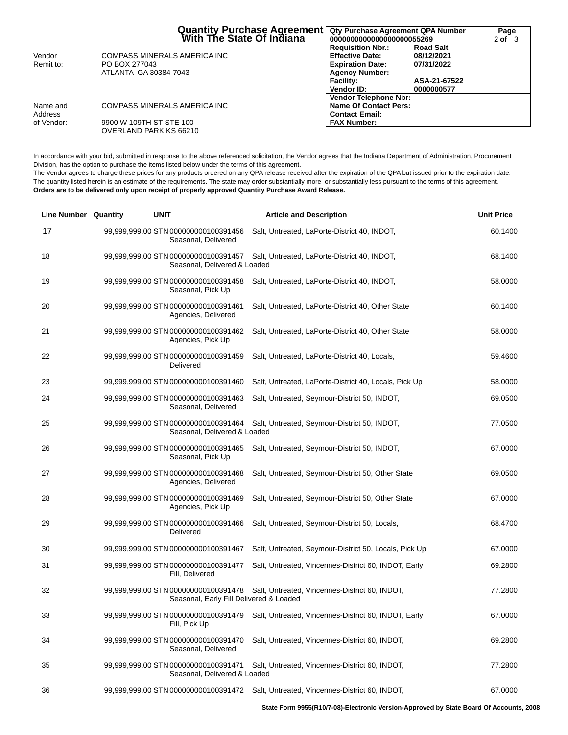|            | Quantity Purchase Agreement<br>  With The State Of Indiana | Qty Purchase Agreement QPA Number<br>0000000000000000000055269 |                  | Page<br>$2$ of $3$ |
|------------|------------------------------------------------------------|----------------------------------------------------------------|------------------|--------------------|
|            |                                                            | <b>Requisition Nbr.:</b>                                       | <b>Road Salt</b> |                    |
| Vendor     | COMPASS MINERALS AMERICA INC                               | <b>Effective Date:</b>                                         | 08/12/2021       |                    |
| Remit to:  | PO BOX 277043                                              | <b>Expiration Date:</b>                                        | 07/31/2022       |                    |
|            | ATLANTA GA 30384-7043                                      | <b>Agency Number:</b>                                          |                  |                    |
|            |                                                            | <b>Facility:</b>                                               | ASA-21-67522     |                    |
|            |                                                            | Vendor ID:                                                     | 0000000577       |                    |
|            |                                                            | <b>Vendor Telephone Nbr:</b>                                   |                  |                    |
| Name and   | COMPASS MINERALS AMERICA INC                               | <b>Name Of Contact Pers:</b>                                   |                  |                    |
| Address    |                                                            | <b>Contact Email:</b>                                          |                  |                    |
| of Vendor: | 9900 W 109TH ST STE 100                                    | <b>FAX Number:</b>                                             |                  |                    |
|            | OVERLAND PARK KS 66210                                     |                                                                |                  |                    |

In accordance with your bid, submitted in response to the above referenced solicitation, the Vendor agrees that the Indiana Department of Administration, Procurement Division, has the option to purchase the items listed below under the terms of this agreement.

The Vendor agrees to charge these prices for any products ordered on any QPA release received after the expiration of the QPA but issued prior to the expiration date. The quantity listed herein is an estimate of the requirements. The state may order substantially more or substantially less pursuant to the terms of this agreement. **Orders are to be delivered only upon receipt of properly approved Quantity Purchase Award Release.**

| <b>Line Number Quantity</b> | <b>UNIT</b>                                                                     | <b>Article and Description</b>                                                            | <b>Unit Price</b> |
|-----------------------------|---------------------------------------------------------------------------------|-------------------------------------------------------------------------------------------|-------------------|
| 17                          | 99,999,999.00 STN 000000000100391456<br>Seasonal, Delivered                     | Salt, Untreated, LaPorte-District 40, INDOT,                                              | 60.1400           |
| 18                          | 99,999,999.00 STN 000000000100391457<br>Seasonal, Delivered & Loaded            | Salt, Untreated, LaPorte-District 40, INDOT,                                              | 68.1400           |
| 19                          | 99,999,999.00 STN 000000000100391458<br>Seasonal, Pick Up                       | Salt, Untreated, LaPorte-District 40, INDOT,                                              | 58.0000           |
| 20                          | 99,999,999.00 STN 000000000100391461<br>Agencies, Delivered                     | Salt, Untreated, LaPorte-District 40, Other State                                         | 60.1400           |
| 21                          | 99,999,999.00 STN 000000000100391462<br>Agencies, Pick Up                       | Salt, Untreated, LaPorte-District 40, Other State                                         | 58.0000           |
| 22                          | 99,999,999.00 STN 000000000100391459<br>Delivered                               | Salt, Untreated, LaPorte-District 40, Locals,                                             | 59.4600           |
| 23                          | 99,999,999.00 STN 000000000100391460                                            | Salt, Untreated, LaPorte-District 40, Locals, Pick Up                                     | 58.0000           |
| 24                          | 99,999,999.00 STN 000000000100391463<br>Seasonal, Delivered                     | Salt, Untreated, Seymour-District 50, INDOT,                                              | 69.0500           |
| 25                          | 99,999,999.00 STN 000000000100391464<br>Seasonal, Delivered & Loaded            | Salt, Untreated, Seymour-District 50, INDOT,                                              | 77.0500           |
| 26                          | 99,999,999.00 STN 000000000100391465<br>Seasonal, Pick Up                       | Salt, Untreated, Seymour-District 50, INDOT,                                              | 67.0000           |
| 27                          | 99,999,999.00 STN 000000000100391468<br>Agencies, Delivered                     | Salt, Untreated, Seymour-District 50, Other State                                         | 69.0500           |
| 28                          | 99,999,999.00 STN 000000000100391469<br>Agencies, Pick Up                       | Salt, Untreated, Seymour-District 50, Other State                                         | 67.0000           |
| 29                          | 99,999,999.00 STN 000000000100391466<br>Delivered                               | Salt, Untreated, Seymour-District 50, Locals,                                             | 68.4700           |
| 30                          | 99,999,999.00 STN 000000000100391467                                            | Salt, Untreated, Seymour-District 50, Locals, Pick Up                                     | 67.0000           |
| 31                          | 99,999,999.00 STN 000000000100391477<br>Fill, Delivered                         | Salt, Untreated, Vincennes-District 60, INDOT, Early                                      | 69.2800           |
| 32                          | 99,999,999.00 STN 000000000100391478<br>Seasonal, Early Fill Delivered & Loaded | Salt, Untreated, Vincennes-District 60, INDOT,                                            | 77.2800           |
| 33                          | Fill, Pick Up                                                                   | 99,999,999.00 STN 000000000100391479 Salt, Untreated, Vincennes-District 60, INDOT, Early | 67.0000           |
| 34                          | 99,999,999.00 STN 000000000100391470<br>Seasonal, Delivered                     | Salt, Untreated, Vincennes-District 60, INDOT,                                            | 69.2800           |
| 35                          | 99,999,999.00 STN 000000000100391471<br>Seasonal, Delivered & Loaded            | Salt, Untreated, Vincennes-District 60, INDOT,                                            | 77.2800           |
| 36                          |                                                                                 | 99,999,999.00 STN 000000000100391472 Salt, Untreated, Vincennes-District 60, INDOT,       | 67.0000           |